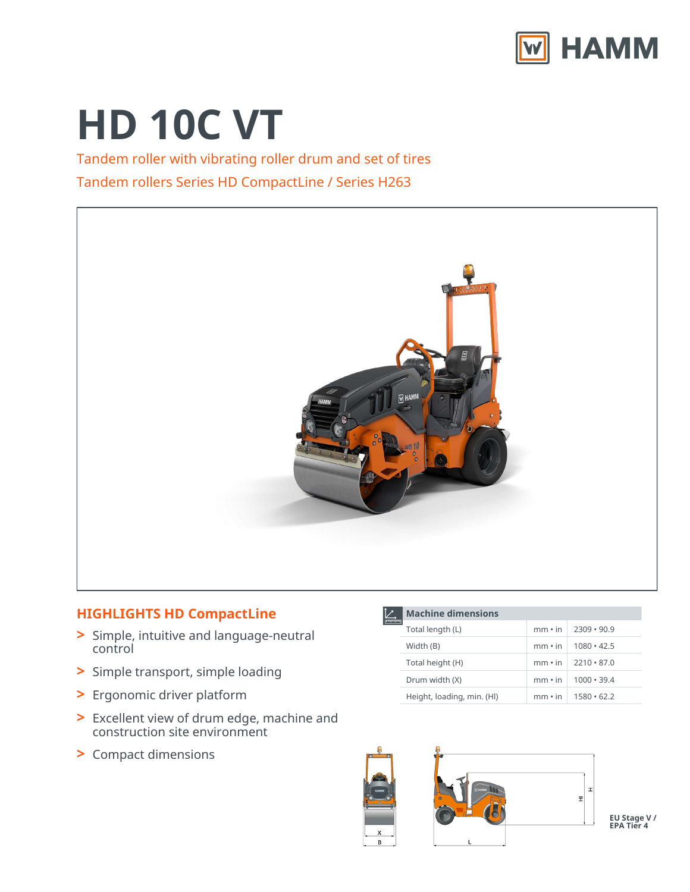

# **HD 10C VT**

Tandem roller with vibrating roller drum and set of tires Tandem rollers Series HD CompactLine / Series H263



# **HIGHLIGHTS HD CompactLine**

- Simple, intuitive and language-neutral **>** control
- **>** Simple transport, simple loading
- **>** Ergonomic driver platform
- Excellent view of drum edge, machine and construction site environment **>**
- **>** Compact dimensions

|  | <b>Machine dimensions</b>  |               |                   |  |  |
|--|----------------------------|---------------|-------------------|--|--|
|  | Total length (L)           | $mm \cdot in$ | $2309 \cdot 90.9$ |  |  |
|  | Width (B)                  | $mm \cdot in$ | $1080 \cdot 42.5$ |  |  |
|  | Total height (H)           | $mm \cdot in$ | $2210 \cdot 87.0$ |  |  |
|  | Drum width (X)             | $mm \cdot in$ | $1000 \cdot 39.4$ |  |  |
|  | Height, loading, min. (HI) | $mm \cdot in$ | $1580 \cdot 62.2$ |  |  |



**EU Stage V / EPA Tier 4**